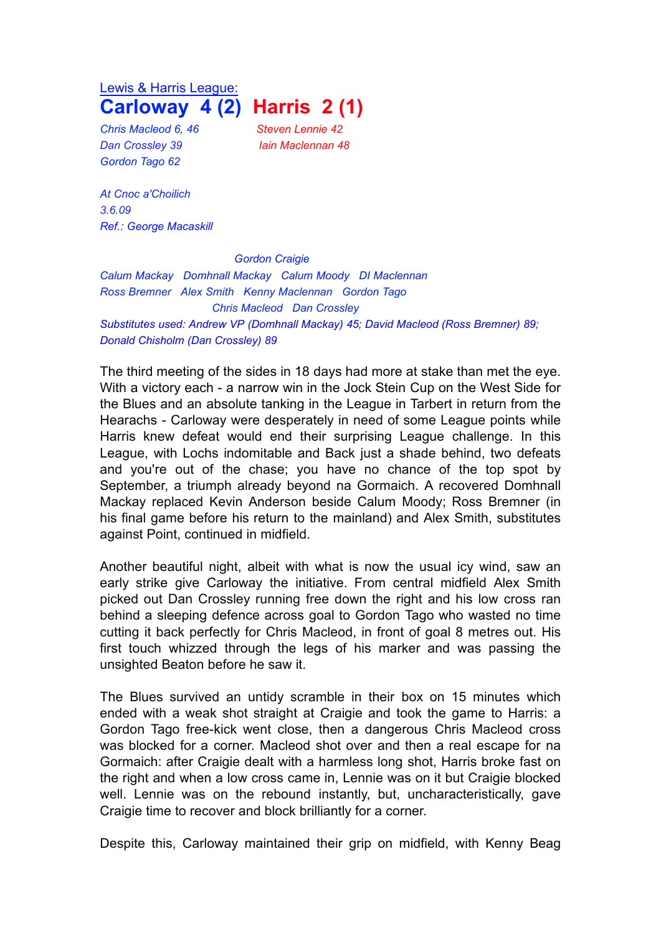Lewis & Harris League: **Carloway 4 (2) Harris 2 (1)**

*Chris Macleod 6, 46 Steven Lennie 42 Dan Crossley 39 Iain Maclennan 48 Gordon Tago 62*

*At Cnoc a'Choilich 3.6.09 Ref.: George Macaskill*

*Gordon Craigie*

*Calum Mackay Domhnall Mackay Calum Moody DI Maclennan Ross Bremner Alex Smith Kenny Maclennan Gordon Tago Chris Macleod Dan Crossley Substitutes used: Andrew VP (Domhnall Mackay) 45; David Macleod (Ross Bremner) 89; Donald Chisholm (Dan Crossley) 89*

The third meeting of the sides in 18 days had more at stake than met the eye. With a victory each - a narrow win in the Jock Stein Cup on the West Side for the Blues and an absolute tanking in the League in Tarbert in return from the Hearachs - Carloway were desperately in need of some League points while Harris knew defeat would end their surprising League challenge. In this League, with Lochs indomitable and Back just a shade behind, two defeats and you're out of the chase; you have no chance of the top spot by September, a triumph already beyond na Gormaich. A recovered Domhnall Mackay replaced Kevin Anderson beside Calum Moody; Ross Bremner (in his final game before his return to the mainland) and Alex Smith, substitutes against Point, continued in midfield.

Another beautiful night, albeit with what is now the usual icy wind, saw an early strike give Carloway the initiative. From central midfield Alex Smith picked out Dan Crossley running free down the right and his low cross ran behind a sleeping defence across goal to Gordon Tago who wasted no time cutting it back perfectly for Chris Macleod, in front of goal 8 metres out. His first touch whizzed through the legs of his marker and was passing the unsighted Beaton before he saw it.

The Blues survived an untidy scramble in their box on 15 minutes which ended with a weak shot straight at Craigie and took the game to Harris: a Gordon Tago free-kick went close, then a dangerous Chris Macleod cross was blocked for a corner. Macleod shot over and then a real escape for na Gormaich: after Craigie dealt with a harmless long shot, Harris broke fast on the right and when a low cross came in, Lennie was on it but Craigie blocked well. Lennie was on the rebound instantly, but, uncharacteristically, gave Craigie time to recover and block brilliantly for a corner.

Despite this, Carloway maintained their grip on midfield, with Kenny Beag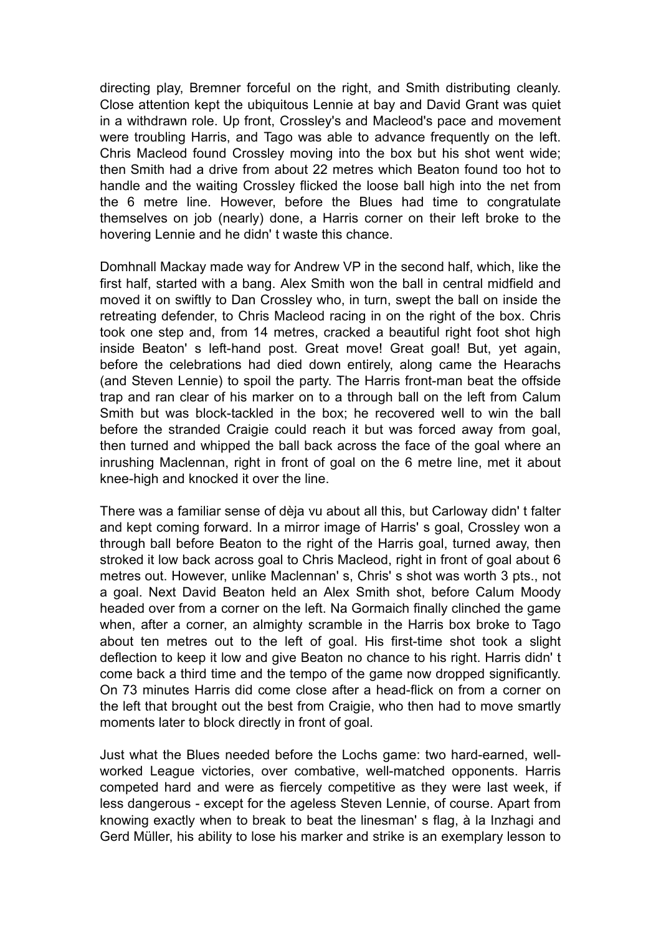directing play, Bremner forceful on the right, and Smith distributing cleanly. Close attention kept the ubiquitous Lennie at bay and David Grant was quiet in a withdrawn role. Up front, Crossley's and Macleod's pace and movement were troubling Harris, and Tago was able to advance frequently on the left. Chris Macleod found Crossley moving into the box but his shot went wide; then Smith had a drive from about 22 metres which Beaton found too hot to handle and the waiting Crossley flicked the loose ball high into the net from the 6 metre line. However, before the Blues had time to congratulate themselves on job (nearly) done, a Harris corner on their left broke to the hovering Lennie and he didn' t waste this chance.

Domhnall Mackay made way for Andrew VP in the second half, which, like the first half, started with a bang. Alex Smith won the ball in central midfield and moved it on swiftly to Dan Crossley who, in turn, swept the ball on inside the retreating defender, to Chris Macleod racing in on the right of the box. Chris took one step and, from 14 metres, cracked a beautiful right foot shot high inside Beaton' s left-hand post. Great move! Great goal! But, yet again, before the celebrations had died down entirely, along came the Hearachs (and Steven Lennie) to spoil the party. The Harris front-man beat the offside trap and ran clear of his marker on to a through ball on the left from Calum Smith but was block-tackled in the box; he recovered well to win the ball before the stranded Craigie could reach it but was forced away from goal, then turned and whipped the ball back across the face of the goal where an inrushing Maclennan, right in front of goal on the 6 metre line, met it about knee-high and knocked it over the line.

There was a familiar sense of dèja vu about all this, but Carloway didn' t falter and kept coming forward. In a mirror image of Harris' s goal, Crossley won a through ball before Beaton to the right of the Harris goal, turned away, then stroked it low back across goal to Chris Macleod, right in front of goal about 6 metres out. However, unlike Maclennan' s, Chris' s shot was worth 3 pts., not a goal. Next David Beaton held an Alex Smith shot, before Calum Moody headed over from a corner on the left. Na Gormaich finally clinched the game when, after a corner, an almighty scramble in the Harris box broke to Tago about ten metres out to the left of goal. His first-time shot took a slight deflection to keep it low and give Beaton no chance to his right. Harris didn' t come back a third time and the tempo of the game now dropped significantly. On 73 minutes Harris did come close after a head-flick on from a corner on the left that brought out the best from Craigie, who then had to move smartly moments later to block directly in front of goal.

Just what the Blues needed before the Lochs game: two hard-earned, wellworked League victories, over combative, well-matched opponents. Harris competed hard and were as fiercely competitive as they were last week, if less dangerous - except for the ageless Steven Lennie, of course. Apart from knowing exactly when to break to beat the linesman' s flag, à la Inzhagi and Gerd Müller, his ability to lose his marker and strike is an exemplary lesson to